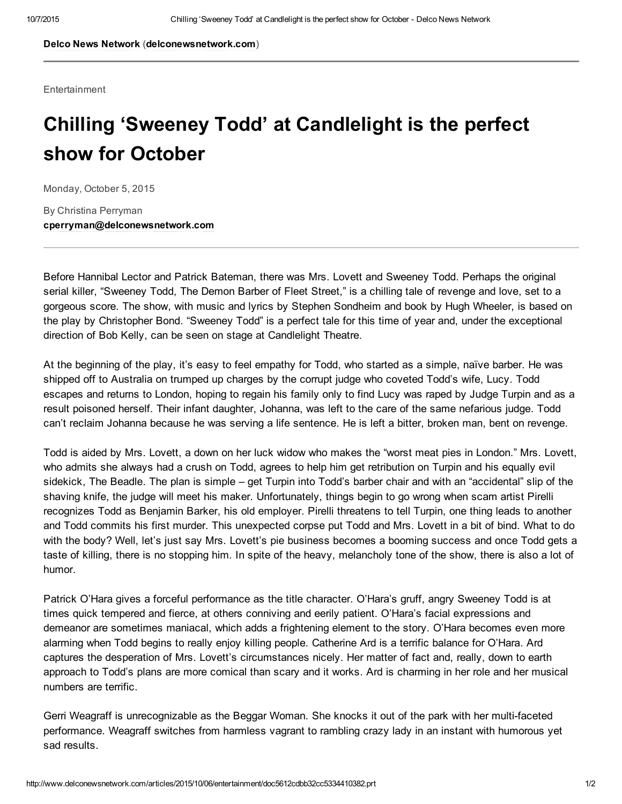Delco News [Network](http://www.delconewsnetwork.com/) ([delconewsnetwork.com\)](http://www.delconewsnetwork.com/)

Entertainment

## Chilling 'Sweeney Todd' at Candlelight is the perfect show for October

Monday, October 5, 2015

By Christina Perryman [cperryman@delconewsnetwork.com](mailto:cperryman@delconewsnetwork.com)

Before Hannibal Lector and Patrick Bateman, there was Mrs. Lovett and Sweeney Todd. Perhaps the original serial killer. "Sweeney Todd, The Demon Barber of Fleet Street," is a chilling tale of revenge and love, set to a gorgeous score. The show, with music and lyrics by Stephen Sondheim and book by Hugh Wheeler, is based on the play by Christopher Bond. "Sweeney Todd" is a perfect tale for this time of year and, under the exceptional direction of Bob Kelly, can be seen on stage at Candlelight Theatre.

At the beginning of the play, it's easy to feel empathy for Todd, who started as a simple, naïve barber. He was shipped off to Australia on trumped up charges by the corrupt judge who coveted Todd's wife, Lucy. Todd escapes and returns to London, hoping to regain his family only to find Lucy was raped by Judge Turpin and as a result poisoned herself. Their infant daughter, Johanna, was left to the care of the same nefarious judge. Todd can't reclaim Johanna because he was serving a life sentence. He is left a bitter, broken man, bent on revenge.

Todd is aided by Mrs. Lovett, a down on her luck widow who makes the "worst meat pies in London." Mrs. Lovett, who admits she always had a crush on Todd, agrees to help him get retribution on Turpin and his equally evil sidekick, The Beadle. The plan is simple – get Turpin into Todd's barber chair and with an "accidental" slip of the shaving knife, the judge will meet his maker. Unfortunately, things begin to go wrong when scam artist Pirelli recognizes Todd as Benjamin Barker, his old employer. Pirelli threatens to tell Turpin, one thing leads to another and Todd commits his first murder. This unexpected corpse put Todd and Mrs. Lovett in a bit of bind. What to do with the body? Well, let's just say Mrs. Lovett's pie business becomes a booming success and once Todd gets a taste of killing, there is no stopping him. In spite of the heavy, melancholy tone of the show, there is also a lot of humor.

Patrick O'Hara gives a forceful performance as the title character. O'Hara's gruff, angry Sweeney Todd is at times quick tempered and fierce, at others conniving and eerily patient. O'Hara's facial expressions and demeanor are sometimes maniacal, which adds a frightening element to the story. O'Hara becomes even more alarming when Todd begins to really enjoy killing people. Catherine Ard is a terrific balance for O'Hara. Ard captures the desperation of Mrs. Lovett's circumstances nicely. Her matter of fact and, really, down to earth approach to Todd's plans are more comical than scary and it works. Ard is charming in her role and her musical numbers are terrific.

Gerri Weagraff is unrecognizable as the Beggar Woman. She knocks it out of the park with her multi-faceted performance. Weagraff switches from harmless vagrant to rambling crazy lady in an instant with humorous yet sad results.